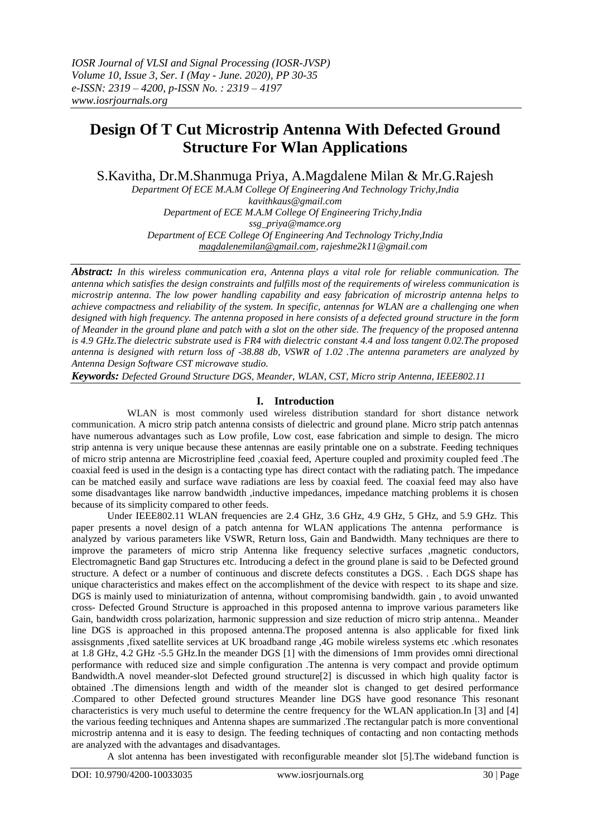# **Design Of T Cut Microstrip Antenna With Defected Ground Structure For Wlan Applications**

S.Kavitha, Dr.M.Shanmuga Priya, A.Magdalene Milan & Mr.G.Rajesh

*Department Of ECE M.A.M College Of Engineering And Technology Trichy,India [kavithkaus@gmail.com](mailto:kavithkaus@gmail.com) Department of ECE M.A.M College Of Engineering Trichy,India [ssg\\_priya@mamce.org](mailto:ssg_priya@mamce.org) Department of ECE College Of Engineering And Technology Trichy,India [magdalenemilan@gmail.com,](mailto:magdalenemilan@gmail.com) [rajeshme2k11@gmail.com](mailto:rajeshme2k11@gmail.com)*

*Abstract: In this wireless communication era, Antenna plays a vital role for reliable communication. The antenna which satisfies the design constraints and fulfills most of the requirements of wireless communication is microstrip antenna. The low power handling capability and easy fabrication of microstrip antenna helps to achieve compactness and reliability of the system. In specific, antennas for WLAN are a challenging one when designed with high frequency. The antenna proposed in here consists of a defected ground structure in the form of Meander in the ground plane and patch with a slot on the other side. The frequency of the proposed antenna is 4.9 GHz.The dielectric substrate used is FR4 with dielectric constant 4.4 and loss tangent 0.02.The proposed antenna is designed with return loss of -38.88 db, VSWR of 1.02 .The antenna parameters are analyzed by Antenna Design Software CST microwave studio.*

*Keywords: Defected Ground Structure DGS, Meander, WLAN, CST, Micro strip Antenna, IEEE802.11*

## **I. Introduction**

 WLAN is most commonly used wireless distribution standard for short distance network communication. A micro strip patch antenna consists of dielectric and ground plane. Micro strip patch antennas have numerous advantages such as Low profile, Low cost, ease fabrication and simple to design. The micro strip antenna is very unique because these antennas are easily printable one on a substrate. Feeding techniques of micro strip antenna are Microstripline feed ,coaxial feed, Aperture coupled and proximity coupled feed .The coaxial feed is used in the design is a contacting type has direct contact with the radiating patch. The impedance can be matched easily and surface wave radiations are less by coaxial feed. The coaxial feed may also have some disadvantages like narrow bandwidth ,inductive impedances, impedance matching problems it is chosen because of its simplicity compared to other feeds.

Under IEEE802.11 WLAN frequencies are 2.4 GHz, 3.6 GHz, 4.9 GHz, 5 GHz, and 5.9 GHz. This paper presents a novel design of a patch antenna for WLAN applications The antenna performance is analyzed by various parameters like VSWR, Return loss, Gain and Bandwidth. Many techniques are there to improve the parameters of micro strip Antenna like frequency selective surfaces ,magnetic conductors, Electromagnetic Band gap Structures etc. Introducing a defect in the ground plane is said to be Defected ground structure. A defect or a number of continuous and discrete defects constitutes a DGS. . Each DGS shape has unique characteristics and makes effect on the accomplishment of the device with respect to its shape and size. DGS is mainly used to miniaturization of antenna, without compromising bandwidth. gain , to avoid unwanted cross- Defected Ground Structure is approached in this proposed antenna to improve various parameters like Gain, bandwidth cross polarization, harmonic suppression and size reduction of micro strip antenna.. Meander line DGS is approached in this proposed antenna.The proposed antenna is also applicable for fixed link assisgnments ,fixed satellite services at UK broadband range ,4G mobile wireless systems etc .which resonates at 1.8 GHz, 4.2 GHz -5.5 GHz.In the meander DGS [1] with the dimensions of 1mm provides omni directional performance with reduced size and simple configuration .The antenna is very compact and provide optimum Bandwidth.A novel meander-slot Defected ground structure[2] is discussed in which high quality factor is obtained .The dimensions length and width of the meander slot is changed to get desired performance .Compared to other Defected ground structures Meander line DGS have good resonance This resonant characteristics is very much useful to determine the centre frequency for the WLAN application.In [3] and [4] the various feeding techniques and Antenna shapes are summarized .The rectangular patch is more conventional microstrip antenna and it is easy to design. The feeding techniques of contacting and non contacting methods are analyzed with the advantages and disadvantages.

A slot antenna has been investigated with reconfigurable meander slot [5].The wideband function is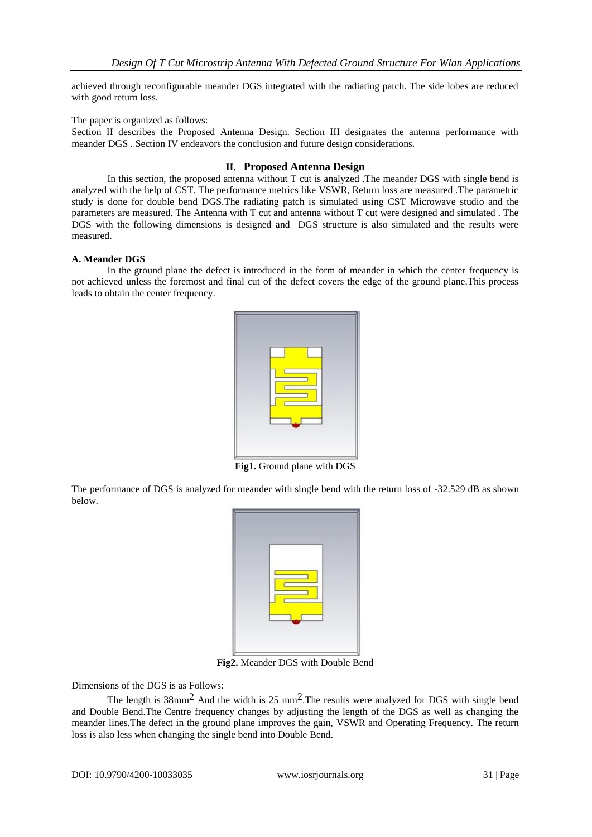achieved through reconfigurable meander DGS integrated with the radiating patch. The side lobes are reduced with good return loss.

## The paper is organized as follows:

Section II describes the Proposed Antenna Design. Section III designates the antenna performance with meander DGS . Section IV endeavors the conclusion and future design considerations.

## **II. Proposed Antenna Design**

In this section, the proposed antenna without T cut is analyzed .The meander DGS with single bend is analyzed with the help of CST. The performance metrics like VSWR, Return loss are measured .The parametric study is done for double bend DGS.The radiating patch is simulated using CST Microwave studio and the parameters are measured. The Antenna with T cut and antenna without T cut were designed and simulated . The DGS with the following dimensions is designed and DGS structure is also simulated and the results were measured.

#### **A. Meander DGS**

In the ground plane the defect is introduced in the form of meander in which the center frequency is not achieved unless the foremost and final cut of the defect covers the edge of the ground plane.This process leads to obtain the center frequency.



**Fig1.** Ground plane with DGS

The performance of DGS is analyzed for meander with single bend with the return loss of -32.529 dB as shown below.

**Fig2.** Meander DGS with Double Bend

Dimensions of the DGS is as Follows:

The length is  $38 \text{mm}^2$  And the width is 25 mm<sup>2</sup>. The results were analyzed for DGS with single bend and Double Bend.The Centre frequency changes by adjusting the length of the DGS as well as changing the meander lines.The defect in the ground plane improves the gain, VSWR and Operating Frequency. The return loss is also less when changing the single bend into Double Bend*.*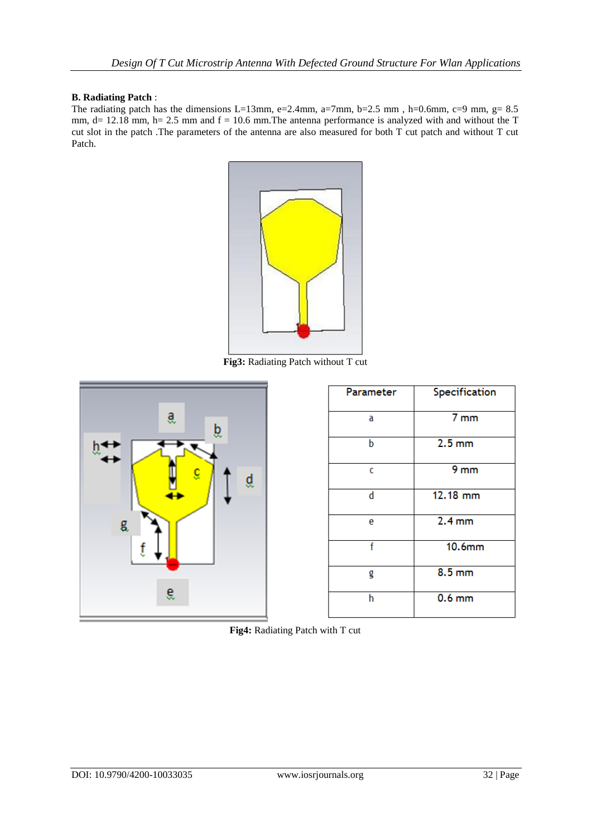# **B. Radiating Patch** :

The radiating patch has the dimensions L=13mm, e=2.4mm, a=7mm, b=2.5 mm, h=0.6mm, c=9 mm, g=  $8.5$ mm,  $d= 12.18$  mm,  $h= 2.5$  mm and  $f = 10.6$  mm. The antenna performance is analyzed with and without the T cut slot in the patch .The parameters of the antenna are also measured for both T cut patch and without T cut Patch.



**Fig3:** Radiating Patch without T cut



| Parameter | Specification     |
|-----------|-------------------|
| a         | 7 <sub>mm</sub>   |
| b         | $2.5 \text{ mm}$  |
| c         | 9 <sub>mm</sub>   |
| d         | 12.18 mm          |
| e         | 2.4 <sub>mm</sub> |
| f         | $10.6$ mm         |
| g         | 8.5 <sub>mm</sub> |
| h         | $0.6$ mm          |

**Fig4:** Radiating Patch with T cut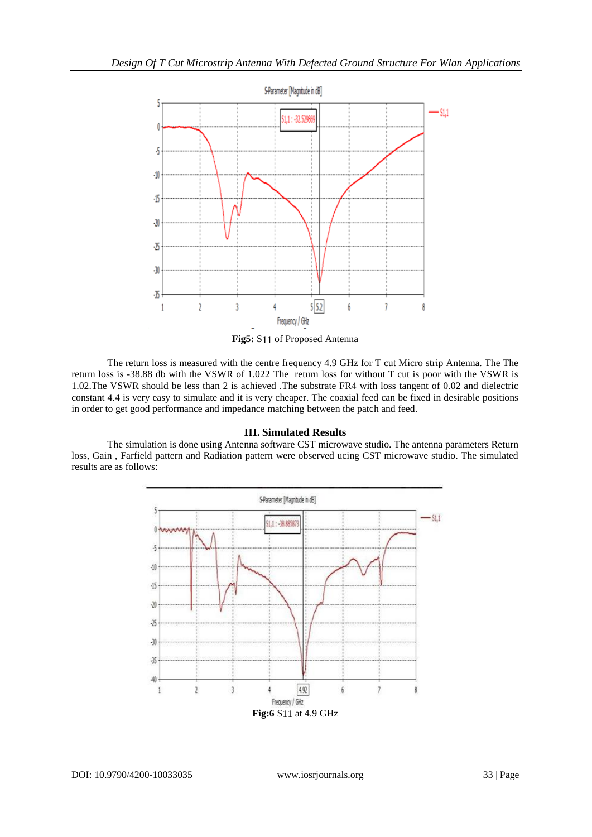

**Fig5:** S11 of Proposed Antenna

The return loss is measured with the centre frequency 4.9 GHz for T cut Micro strip Antenna. The The return loss is -38.88 db with the VSWR of 1.022 The return loss for without T cut is poor with the VSWR is 1.02.The VSWR should be less than 2 is achieved .The substrate FR4 with loss tangent of 0.02 and dielectric constant 4.4 is very easy to simulate and it is very cheaper. The coaxial feed can be fixed in desirable positions in order to get good performance and impedance matching between the patch and feed.

# **III. Simulated Results**

The simulation is done using Antenna software CST microwave studio. The antenna parameters Return loss, Gain , Farfield pattern and Radiation pattern were observed ucing CST microwave studio. The simulated results are as follows:

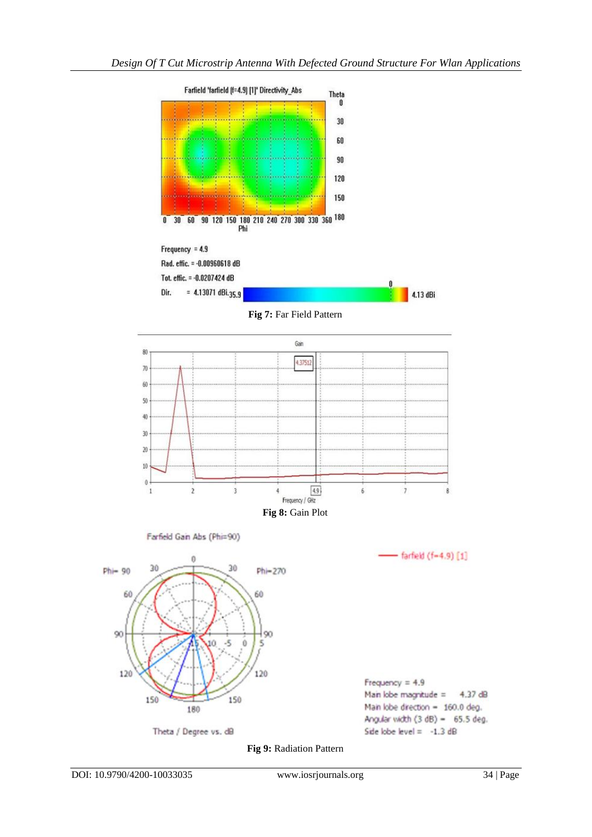